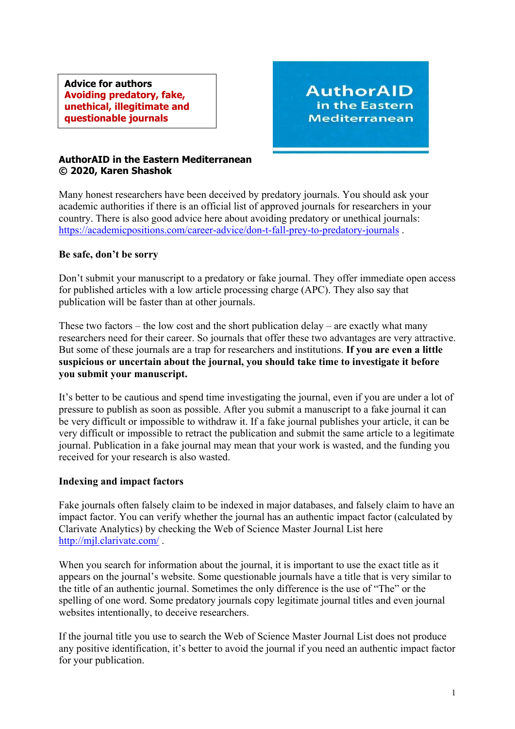**Advice for authors Avoiding predatory, fake, unethical, illegitimate and questionable journals** 

**AuthorAID** in the Eastern **Mediterranean** 

# **AuthorAID in the Eastern Mediterranean © 2020, Karen Shashok**

Many honest researchers have been deceived by predatory journals. You should ask your academic authorities if there is an official list of approved journals for researchers in your country. There is also good advice here about avoiding predatory or unethical journals: https://academicpositions.com/career-advice/don-t-fall-prey-to-predatory-journals .

# **Be safe, don't be sorry**

Don't submit your manuscript to a predatory or fake journal. They offer immediate open access for published articles with a low article processing charge (APC). They also say that publication will be faster than at other journals.

These two factors – the low cost and the short publication delay – are exactly what many researchers need for their career. So journals that offer these two advantages are very attractive. But some of these journals are a trap for researchers and institutions. **If you are even a little suspicious or uncertain about the journal, you should take time to investigate it before you submit your manuscript.**

It's better to be cautious and spend time investigating the journal, even if you are under a lot of pressure to publish as soon as possible. After you submit a manuscript to a fake journal it can be very difficult or impossible to withdraw it. If a fake journal publishes your article, it can be very difficult or impossible to retract the publication and submit the same article to a legitimate journal. Publication in a fake journal may mean that your work is wasted, and the funding you received for your research is also wasted.

# **Indexing and impact factors**

Fake journals often falsely claim to be indexed in major databases, and falsely claim to have an impact factor. You can verify whether the journal has an authentic impact factor (calculated by Clarivate Analytics) by checking the Web of Science Master Journal List here http://mjl.clarivate.com/ .

When you search for information about the journal, it is important to use the exact title as it appears on the journal's website. Some questionable journals have a title that is very similar to the title of an authentic journal. Sometimes the only difference is the use of "The" or the spelling of one word. Some predatory journals copy legitimate journal titles and even journal websites intentionally, to deceive researchers.

If the journal title you use to search the Web of Science Master Journal List does not produce any positive identification, it's better to avoid the journal if you need an authentic impact factor for your publication.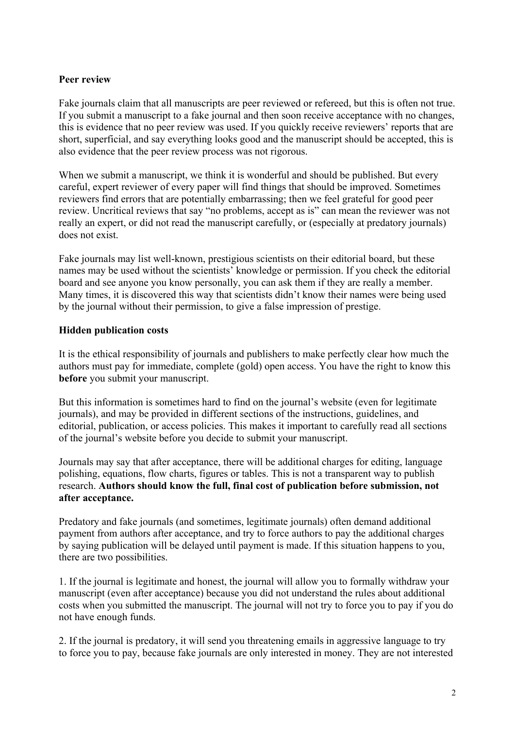## **Peer review**

Fake journals claim that all manuscripts are peer reviewed or refereed, but this is often not true. If you submit a manuscript to a fake journal and then soon receive acceptance with no changes, this is evidence that no peer review was used. If you quickly receive reviewers' reports that are short, superficial, and say everything looks good and the manuscript should be accepted, this is also evidence that the peer review process was not rigorous.

When we submit a manuscript, we think it is wonderful and should be published. But every careful, expert reviewer of every paper will find things that should be improved. Sometimes reviewers find errors that are potentially embarrassing; then we feel grateful for good peer review. Uncritical reviews that say "no problems, accept as is" can mean the reviewer was not really an expert, or did not read the manuscript carefully, or (especially at predatory journals) does not exist.

Fake journals may list well-known, prestigious scientists on their editorial board, but these names may be used without the scientists' knowledge or permission. If you check the editorial board and see anyone you know personally, you can ask them if they are really a member. Many times, it is discovered this way that scientists didn't know their names were being used by the journal without their permission, to give a false impression of prestige.

## **Hidden publication costs**

It is the ethical responsibility of journals and publishers to make perfectly clear how much the authors must pay for immediate, complete (gold) open access. You have the right to know this **before** you submit your manuscript.

But this information is sometimes hard to find on the journal's website (even for legitimate journals), and may be provided in different sections of the instructions, guidelines, and editorial, publication, or access policies. This makes it important to carefully read all sections of the journal's website before you decide to submit your manuscript.

Journals may say that after acceptance, there will be additional charges for editing, language polishing, equations, flow charts, figures or tables. This is not a transparent way to publish research. **Authors should know the full, final cost of publication before submission, not after acceptance.**

Predatory and fake journals (and sometimes, legitimate journals) often demand additional payment from authors after acceptance, and try to force authors to pay the additional charges by saying publication will be delayed until payment is made. If this situation happens to you, there are two possibilities.

1. If the journal is legitimate and honest, the journal will allow you to formally withdraw your manuscript (even after acceptance) because you did not understand the rules about additional costs when you submitted the manuscript. The journal will not try to force you to pay if you do not have enough funds.

2. If the journal is predatory, it will send you threatening emails in aggressive language to try to force you to pay, because fake journals are only interested in money. They are not interested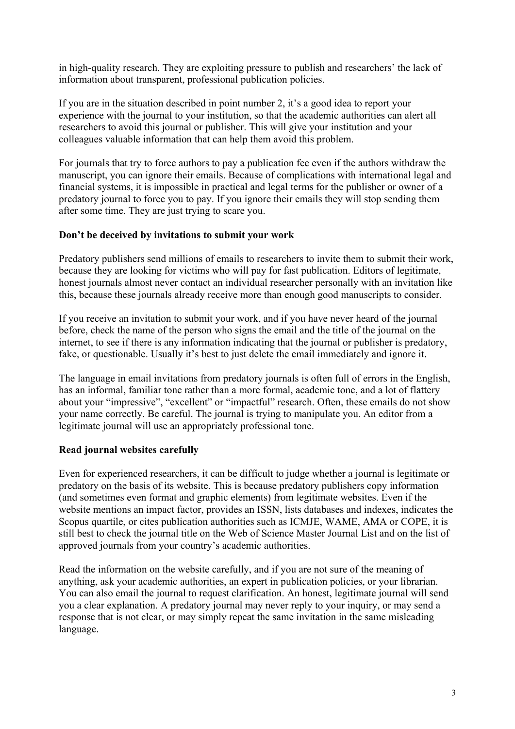in high-quality research. They are exploiting pressure to publish and researchers' the lack of information about transparent, professional publication policies.

If you are in the situation described in point number 2, it's a good idea to report your experience with the journal to your institution, so that the academic authorities can alert all researchers to avoid this journal or publisher. This will give your institution and your colleagues valuable information that can help them avoid this problem.

For journals that try to force authors to pay a publication fee even if the authors withdraw the manuscript, you can ignore their emails. Because of complications with international legal and financial systems, it is impossible in practical and legal terms for the publisher or owner of a predatory journal to force you to pay. If you ignore their emails they will stop sending them after some time. They are just trying to scare you.

# **Don't be deceived by invitations to submit your work**

Predatory publishers send millions of emails to researchers to invite them to submit their work, because they are looking for victims who will pay for fast publication. Editors of legitimate, honest journals almost never contact an individual researcher personally with an invitation like this, because these journals already receive more than enough good manuscripts to consider.

If you receive an invitation to submit your work, and if you have never heard of the journal before, check the name of the person who signs the email and the title of the journal on the internet, to see if there is any information indicating that the journal or publisher is predatory, fake, or questionable. Usually it's best to just delete the email immediately and ignore it.

The language in email invitations from predatory journals is often full of errors in the English, has an informal, familiar tone rather than a more formal, academic tone, and a lot of flattery about your "impressive", "excellent" or "impactful" research. Often, these emails do not show your name correctly. Be careful. The journal is trying to manipulate you. An editor from a legitimate journal will use an appropriately professional tone.

# **Read journal websites carefully**

Even for experienced researchers, it can be difficult to judge whether a journal is legitimate or predatory on the basis of its website. This is because predatory publishers copy information (and sometimes even format and graphic elements) from legitimate websites. Even if the website mentions an impact factor, provides an ISSN, lists databases and indexes, indicates the Scopus quartile, or cites publication authorities such as ICMJE, WAME, AMA or COPE, it is still best to check the journal title on the Web of Science Master Journal List and on the list of approved journals from your country's academic authorities.

Read the information on the website carefully, and if you are not sure of the meaning of anything, ask your academic authorities, an expert in publication policies, or your librarian. You can also email the journal to request clarification. An honest, legitimate journal will send you a clear explanation. A predatory journal may never reply to your inquiry, or may send a response that is not clear, or may simply repeat the same invitation in the same misleading language.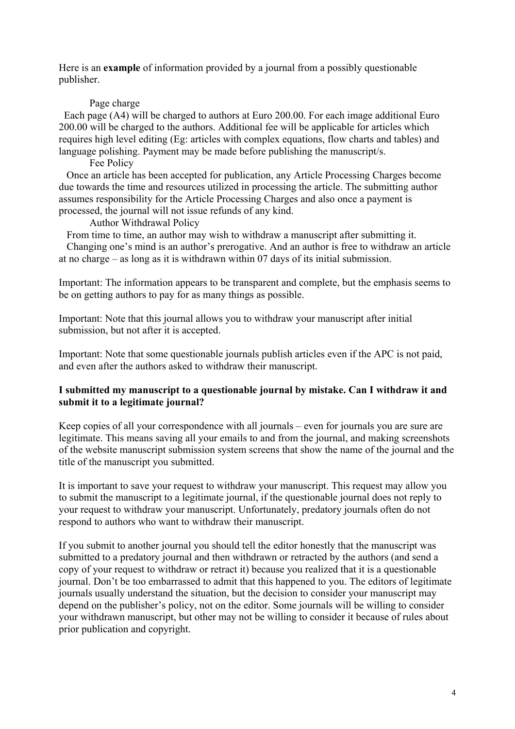Here is an **example** of information provided by a journal from a possibly questionable publisher.

#### Page charge

 Each page (A4) will be charged to authors at Euro 200.00. For each image additional Euro 200.00 will be charged to the authors. Additional fee will be applicable for articles which requires high level editing (Eg: articles with complex equations, flow charts and tables) and language polishing. Payment may be made before publishing the manuscript/s.

#### Fee Policy

 Once an article has been accepted for publication, any Article Processing Charges become due towards the time and resources utilized in processing the article. The submitting author assumes responsibility for the Article Processing Charges and also once a payment is processed, the journal will not issue refunds of any kind.

Author Withdrawal Policy

From time to time, an author may wish to withdraw a manuscript after submitting it.

 Changing one's mind is an author's prerogative. And an author is free to withdraw an article at no charge – as long as it is withdrawn within 07 days of its initial submission.

Important: The information appears to be transparent and complete, but the emphasis seems to be on getting authors to pay for as many things as possible.

Important: Note that this journal allows you to withdraw your manuscript after initial submission, but not after it is accepted.

Important: Note that some questionable journals publish articles even if the APC is not paid, and even after the authors asked to withdraw their manuscript.

## **I submitted my manuscript to a questionable journal by mistake. Can I withdraw it and submit it to a legitimate journal?**

Keep copies of all your correspondence with all journals – even for journals you are sure are legitimate. This means saving all your emails to and from the journal, and making screenshots of the website manuscript submission system screens that show the name of the journal and the title of the manuscript you submitted.

It is important to save your request to withdraw your manuscript. This request may allow you to submit the manuscript to a legitimate journal, if the questionable journal does not reply to your request to withdraw your manuscript. Unfortunately, predatory journals often do not respond to authors who want to withdraw their manuscript.

If you submit to another journal you should tell the editor honestly that the manuscript was submitted to a predatory journal and then withdrawn or retracted by the authors (and send a copy of your request to withdraw or retract it) because you realized that it is a questionable journal. Don't be too embarrassed to admit that this happened to you. The editors of legitimate journals usually understand the situation, but the decision to consider your manuscript may depend on the publisher's policy, not on the editor. Some journals will be willing to consider your withdrawn manuscript, but other may not be willing to consider it because of rules about prior publication and copyright.